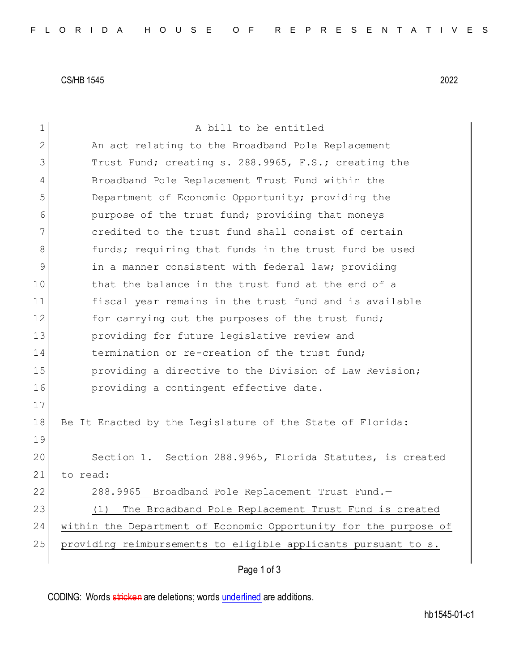CS/HB 1545 2022

| $\mathbf 1$    | A bill to be entitled                                            |
|----------------|------------------------------------------------------------------|
| $\overline{2}$ | An act relating to the Broadband Pole Replacement                |
| 3              | Trust Fund; creating s. 288.9965, F.S.; creating the             |
| 4              | Broadband Pole Replacement Trust Fund within the                 |
| 5              | Department of Economic Opportunity; providing the                |
| 6              | purpose of the trust fund; providing that moneys                 |
| 7              | credited to the trust fund shall consist of certain              |
| 8              | funds; requiring that funds in the trust fund be used            |
| 9              | in a manner consistent with federal law; providing               |
| 10             | that the balance in the trust fund at the end of a               |
| 11             | fiscal year remains in the trust fund and is available           |
| 12             | for carrying out the purposes of the trust fund;                 |
| 13             | providing for future legislative review and                      |
| 14             | termination or re-creation of the trust fund;                    |
| 15             | providing a directive to the Division of Law Revision;           |
| 16             | providing a contingent effective date.                           |
| 17             |                                                                  |
| 18             | Be It Enacted by the Legislature of the State of Florida:        |
| 19             |                                                                  |
| 20             | Section 1. Section 288.9965, Florida Statutes, is created        |
| 21             | to read:                                                         |
| 22             | 288.9965 Broadband Pole Replacement Trust Fund.-                 |
| 23             | The Broadband Pole Replacement Trust Fund is created<br>(1)      |
| 24             | within the Department of Economic Opportunity for the purpose of |
| 25             | providing reimbursements to eligible applicants pursuant to s.   |
|                | Page 1 of 3                                                      |

CODING: Words stricken are deletions; words underlined are additions.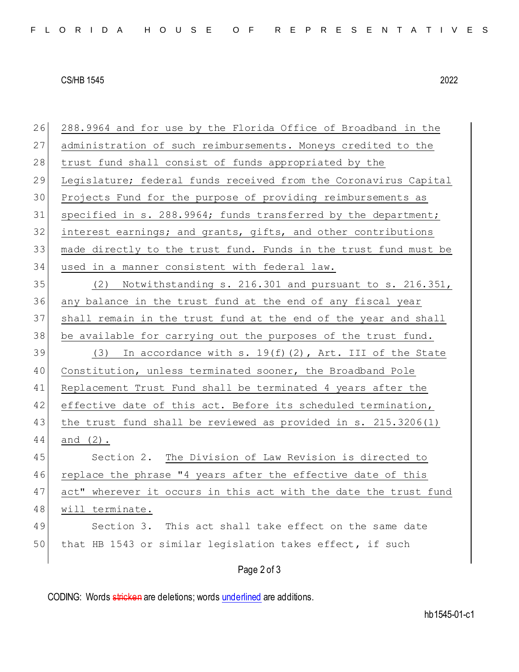## CS/HB 1545 2022

| 26 | 288.9964 and for use by the Florida Office of Broadband in the   |
|----|------------------------------------------------------------------|
| 27 | administration of such reimbursements. Moneys credited to the    |
| 28 | trust fund shall consist of funds appropriated by the            |
| 29 | Legislature; federal funds received from the Coronavirus Capital |
| 30 | Projects Fund for the purpose of providing reimbursements as     |
| 31 | specified in s. 288.9964; funds transferred by the department;   |
| 32 | interest earnings; and grants, gifts, and other contributions    |
| 33 | made directly to the trust fund. Funds in the trust fund must be |
| 34 | used in a manner consistent with federal law.                    |
| 35 | (2) Notwithstanding s. 216.301 and pursuant to s. 216.351,       |
| 36 | any balance in the trust fund at the end of any fiscal year      |
| 37 | shall remain in the trust fund at the end of the year and shall  |
| 38 | be available for carrying out the purposes of the trust fund.    |
| 39 | (3) In accordance with s. $19(f)(2)$ , Art. III of the State     |
| 40 | Constitution, unless terminated sooner, the Broadband Pole       |
| 41 | Replacement Trust Fund shall be terminated 4 years after the     |
| 42 | effective date of this act. Before its scheduled termination,    |
| 43 | the trust fund shall be reviewed as provided in s. $215.3206(1)$ |
| 44 | and $(2)$ .                                                      |
| 45 | Section 2. The Division of Law Revision is directed to           |
| 46 | replace the phrase "4 years after the effective date of this     |
| 47 | act" wherever it occurs in this act with the date the trust fund |
| 48 | will terminate.                                                  |
| 49 | Section 3.<br>This act shall take effect on the same date        |
| 50 | that HB 1543 or similar legislation takes effect, if such        |
|    | Page 2 of 3                                                      |

CODING: Words stricken are deletions; words underlined are additions.